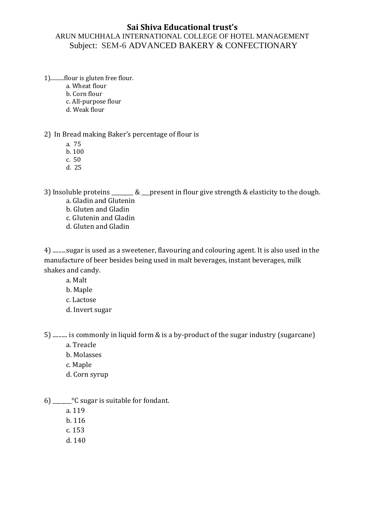## **Sai Shiva Educational trust's**

## ARUN MUCHHALA INTERNATIONAL COLLEGE OF HOTEL MANAGEMENT Subject: SEM-6 ADVANCED BAKERY & CONFECTIONARY

1)..........flour is gluten free flour.

a. Wheat flour

b. Corn flour

c. All-purpose flour

d. Weak flour

2) In Bread making Baker's percentage of flour is

a. 75

b. 100

c. 50

d. 25

3) Insoluble proteins \_\_\_\_\_\_\_ & \_\_\_present in flour give strength & elasticity to the dough.

a. Gladin and Glutenin

b. Gluten and Gladin

c. Glutenin and Gladin

d. Gluten and Gladin

4) .........sugar is used as a sweetener, flavouring and colouring agent. It is also used in the manufacture of beer besides being used in malt beverages, instant beverages, milk shakes and candy.

a. Malt

b. Maple

c. Lactose

d. Invert sugar

5) .......... is commonly in liquid form & is a by-product of the sugar industry (sugarcane)

a. Treacle

b. Molasses

c. Maple

d. Corn syrup

6) \_\_\_\_\_\_\_°C sugar is suitable for fondant.

a. 119

b. 116

c. 153

d. 140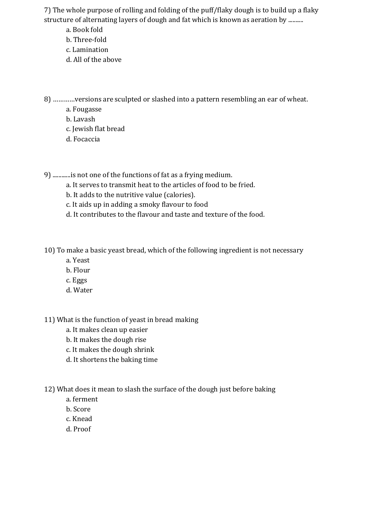7) The whole purpose of rolling and folding of the puff/flaky dough is to build up a flaky structure of alternating layers of dough and fat which is known as aeration by ..........

a. Book fold

- b. Three-fold
- c. Lamination
- d. All of the above

8) …………versions are sculpted or slashed into a pattern resembling an ear of wheat.

- a. Fougasse
- b. Lavash
- c. Jewish flat bread
- d. Focaccia

9) ............is not one of the functions of fat as a frying medium.

- a. It serves to transmit heat to the articles of food to be fried.
- b. It adds to the nutritive value (calories).
- c. It aids up in adding a smoky flavour to food
- d. It contributes to the flavour and taste and texture of the food.

10) To make a basic yeast bread, which of the following ingredient is not necessary

- a. Yeast
- b. Flour
- c. Eggs
- d. Water

11) What is the function of yeast in bread making

- a. It makes clean up easier
- b. It makes the dough rise
- c. It makes the dough shrink
- d. It shortens the baking time

12) What does it mean to slash the surface of the dough just before baking

- a. ferment
- b. Score
- c. Knead
- d. Proof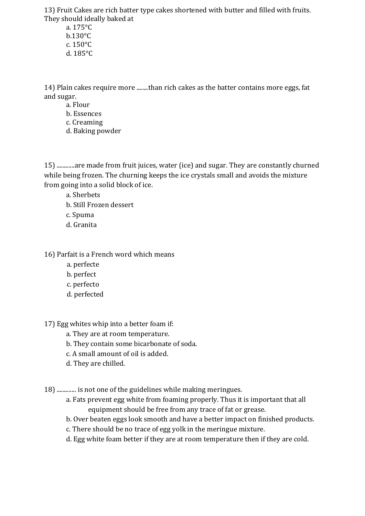13) Fruit Cakes are rich batter type cakes shortened with butter and filled with fruits. They should ideally baked at

a. 175°C b.130°C c. 150°C d. 185°C

14) Plain cakes require more ........than rich cakes as the batter contains more eggs, fat and sugar.

- a. Flour
- b. Essences
- c. Creaming
- d. Baking powder

15) ............are made from fruit juices, water (ice) and sugar. They are constantly churned while being frozen. The churning keeps the ice crystals small and avoids the mixture from going into a solid block of ice.

a. Sherbets

- b. Still Frozen dessert
- c. Spuma
- d. Granita

## 16) Parfait is a French word which means

- a. perfecte
- b. perfect
- c. perfecto
- d. perfected

17) Egg whites whip into a better foam if:

- a. They are at room temperature.
- b. They contain some bicarbonate of soda.
- c. A small amount of oil is added.
- d. They are chilled.

18) ............. is not one of the guidelines while making meringues.

- a. Fats prevent egg white from foaming properly. Thus it is important that all equipment should be free from any trace of fat or grease.
- b. Over beaten eggs look smooth and have a better impact on finished products.
- c. There should be no trace of egg yolk in the meringue mixture.
- d. Egg white foam better if they are at room temperature then if they are cold.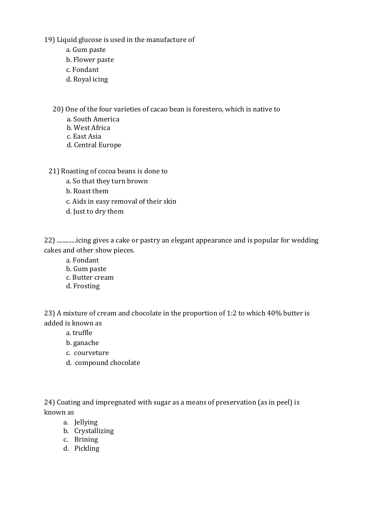19) Liquid glucose is used in the manufacture of

- a. Gum paste
- b. Flower paste
- c. Fondant
- d. Royal icing

20) One of the four varieties of cacao bean is forestero, which is native to

- a. South America
- b. West Africa
- c. East Asia
- d. Central Europe

21) Roasting of cocoa beans is done to

- a. So that they turn brown
- b. Roast them
- c. Aids in easy removal of their skin
- d. Just to dry them

22) .............icing gives a cake or pastry an elegant appearance and is popular for wedding cakes and other show pieces.

- a. Fondant
- b. Gum paste
- c. Butter cream
- d. Frosting

23) A mixture of cream and chocolate in the proportion of 1:2 to which 40% butter is added is known as

a. truffle

- b. ganache
- c. courveture
- d. compound chocolate

24) Coating and impregnated with sugar as a means of preservation (as in peel) is known as

- a. Jellying
- b. Crystallizing
- c. Brining
- d. Pickling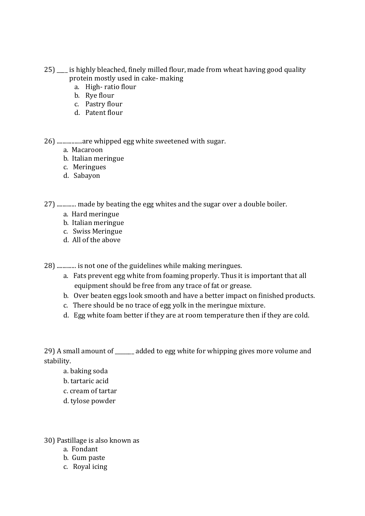- 25) \_\_\_\_ is highly bleached, finely milled flour, made from wheat having good quality protein mostly used in cake- making
	- a. High- ratio flour
	- b. Rye flour
	- c. Pastry flour
	- d. Patent flour

26) .................are whipped egg white sweetened with sugar.

- a. Macaroon
- b. Italian meringue
- c. Meringues
- d. Sabayon

27) ............. made by beating the egg whites and the sugar over a double boiler.

- a. Hard meringue
- b. Italian meringue
- c. Swiss Meringue
- d. All of the above

28) ............. is not one of the guidelines while making meringues.

- a. Fats prevent egg white from foaming properly. Thus it is important that all equipment should be free from any trace of fat or grease.
- b. Over beaten eggs look smooth and have a better impact on finished products.
- c. There should be no trace of egg yolk in the meringue mixture.
- d. Egg white foam better if they are at room temperature then if they are cold.

29) A small amount of added to egg white for whipping gives more volume and stability.

- a. baking soda
- b. tartaric acid
- c. cream of tartar
- d. tylose powder

30) Pastillage is also known as

- a. Fondant
- b. Gum paste
- c. Royal icing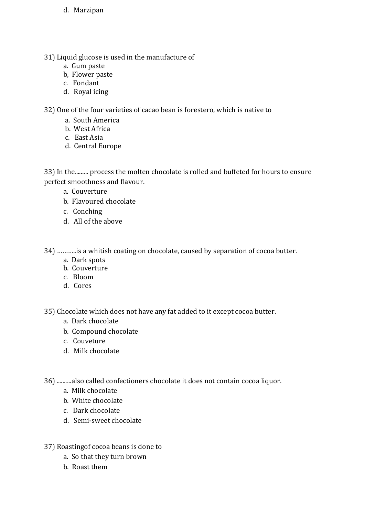- d. Marzipan
- 31) Liquid glucose is used in the manufacture of
	- a. Gum paste
	- b, Flower paste
	- c. Fondant
	- d. Royal icing

32) One of the four varieties of cacao bean is forestero, which is native to

- a. South America
- b. West Africa
- c. East Asia
- d. Central Europe

33) In the......... process the molten chocolate is rolled and buffeted for hours to ensure perfect smoothness and flavour.

- a. Couverture
- b. Flavoured chocolate
- c. Conching
- d. All of the above

34) ………..is a whitish coating on chocolate, caused by separation of cocoa butter.

- a. Dark spots
- b. Couverture
- c. Bloom
- d. Cores

35) Chocolate which does not have any fat added to it except cocoa butter.

- a. Dark chocolate
- b. Compound chocolate
- c. Couveture
- d. Milk chocolate

36) ..........also called confectioners chocolate it does not contain cocoa liquor.

- a. Milk chocolate
- b. White chocolate
- c. Dark chocolate
- d. Semi-sweet chocolate
- 37) Roastingof cocoa beans is done to
	- a. So that they turn brown
	- b. Roast them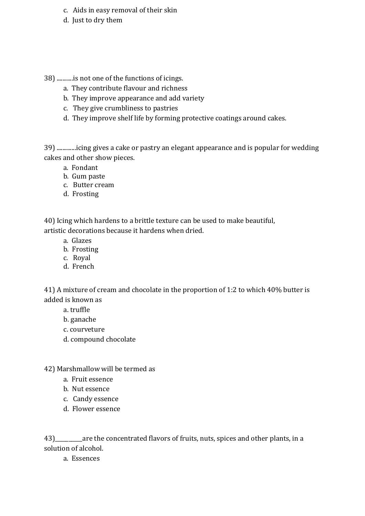- c. Aids in easy removal of their skin
- d. Just to dry them
- 38) ...........is not one of the functions of icings.
	- a. They contribute flavour and richness
	- b. They improve appearance and add variety
	- c. They give crumbliness to pastries
	- d. They improve shelf life by forming protective coatings around cakes.

39) .............icing gives a cake or pastry an elegant appearance and is popular for wedding cakes and other show pieces.

- a. Fondant
- b. Gum paste
- c. Butter cream
- d. Frosting

40) Icing which hardens to a brittle texture can be used to make beautiful, artistic decorations because it hardens when dried.

- a. Glazes
- b. Frosting
- c. Royal
- d. French

41) A mixture of cream and chocolate in the proportion of 1:2 to which 40% butter is added is known as

- a. truffle
- b. ganache
- c. courveture
- d. compound chocolate
- 42) Marshmallow will be termed as
	- a. Fruit essence
	- b. Nut essence
	- c. Candy essence
	- d. Flower essence

43)\_\_\_\_\_\_\_\_\_\_are the concentrated flavors of fruits, nuts, spices and other plants, in a solution of alcohol.

a. Essences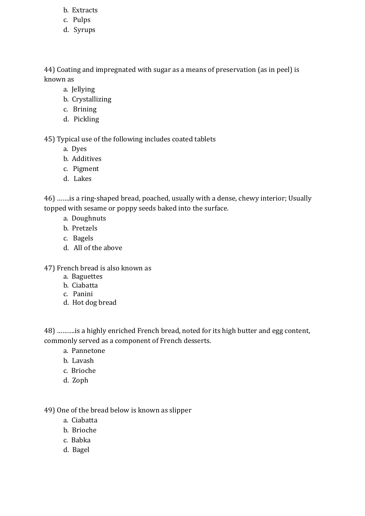- b. Extracts
- c. Pulps
- d. Syrups

44) Coating and impregnated with sugar as a means of preservation (as in peel) is known as

- a. Jellying
- b. Crystallizing
- c. Brining
- d. Pickling

45) Typical use of the following includes coated tablets

- a. Dyes
- b. Additives
- c. Pigment
- d. Lakes

46) …….is a ring-shaped bread, poached, usually with a dense, chewy interior; Usually topped with sesame or poppy seeds baked into the surface.

- a. Doughnuts
- b. Pretzels
- c. Bagels
- d. All of the above

47) French bread is also known as

- a. Baguettes
- b. Ciabatta
- c. Panini
- d. Hot dog bread

48) ……….is a highly enriched French bread, noted for its high butter and egg content, commonly served as a component of French desserts.

- a. Pannetone
- b. Lavash
- c. Brioche
- d. Zoph

49) One of the bread below is known as slipper

- a. Ciabatta
- b. Brioche
- c. Babka
- d. Bagel